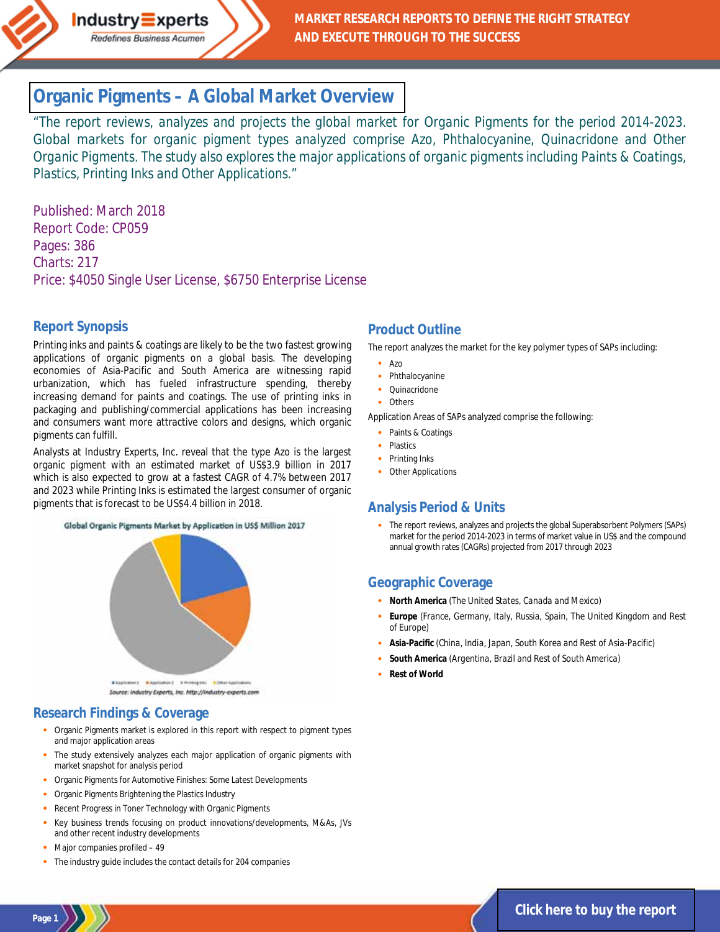

# **Organic Pigments – [A Global Market Overview](http://industry-experts.com/verticals/chemicals-and-materials/organic-pigments-a-global-market-overview)**

*"The report reviews, analyzes and projects the global market for Organic Pigments for the period 2014-2023. Global markets for organic pigment types analyzed comprise Azo, Phthalocyanine, Quinacridone and Other Organic Pigments. The study also explores the major applications of organic pigments including Paints & Coatings, Plastics, Printing Inks and Other Applications."*

Published: March 2018 Report Code: CP059 Pages: 386 Charts: 217 Price: \$4050 Single User License, \$6750 Enterprise License

### **Report Synopsis**

Printing inks and paints & coatings are likely to be the two fastest growing applications of organic pigments on a global basis. The developing economies of Asia-Pacific and South America are witnessing rapid urbanization, which has fueled infrastructure spending, thereby increasing demand for paints and coatings. The use of printing inks in packaging and publishing/commercial applications has been increasing and consumers want more attractive colors and designs, which organic pigments can fulfill.

Analysts at Industry Experts, Inc. reveal that the type Azo is the largest organic pigment with an estimated market of US\$3.9 billion in 2017 which is also expected to grow at a fastest CAGR of 4.7% between 2017 and 2023 while Printing Inks is estimated the largest consumer of organic pigments that is forecast to be US\$4.4 billion in 2018.





### **Research Findings & Coverage**

- · Organic Pigments market is explored in this report with respect to pigment types and major application areas
- The study extensively analyzes each major application of organic pigments with market snapshot for analysis period
- · Organic Pigments for Automotive Finishes: Some Latest Developments
- · Organic Pigments Brightening the Plastics Industry
- Recent Progress in Toner Technology with Organic Pigments
- Key business trends focusing on product innovations/developments, M&As, JVs and other recent industry developments
- Major companies profiled 49
- The industry guide includes the contact details for 204 companies

### **Product Outline**

The report analyzes the market for the key polymer types of SAPs including:

- · Azo
- · Phthalocyanine
- · Quinacridone
- **Others**

Application Areas of SAPs analyzed comprise the following:

- · Paints & Coatings
- **Plastics**
- · Printing Inks
- Other Applications

### **Analysis Period & Units**

The report reviews, analyzes and projects the global Superabsorbent Polymers (SAPs) market for the period 2014-2023 in terms of market value in US\$ and the compound annual growth rates (CAGRs) projected from 2017 through 2023

### **Geographic Coverage**

- · **North America** *(The United States, Canada and Mexico)*
- · **Europe** *(France, Germany, Italy, Russia, Spain, The United Kingdom and Rest of Europe)*
- · **Asia-Pacific** *(China, India, Japan, South Korea and Rest of Asia-Pacific)*
- · **South America** *(Argentina, Brazil and Rest of South America)*
- **Rest of World**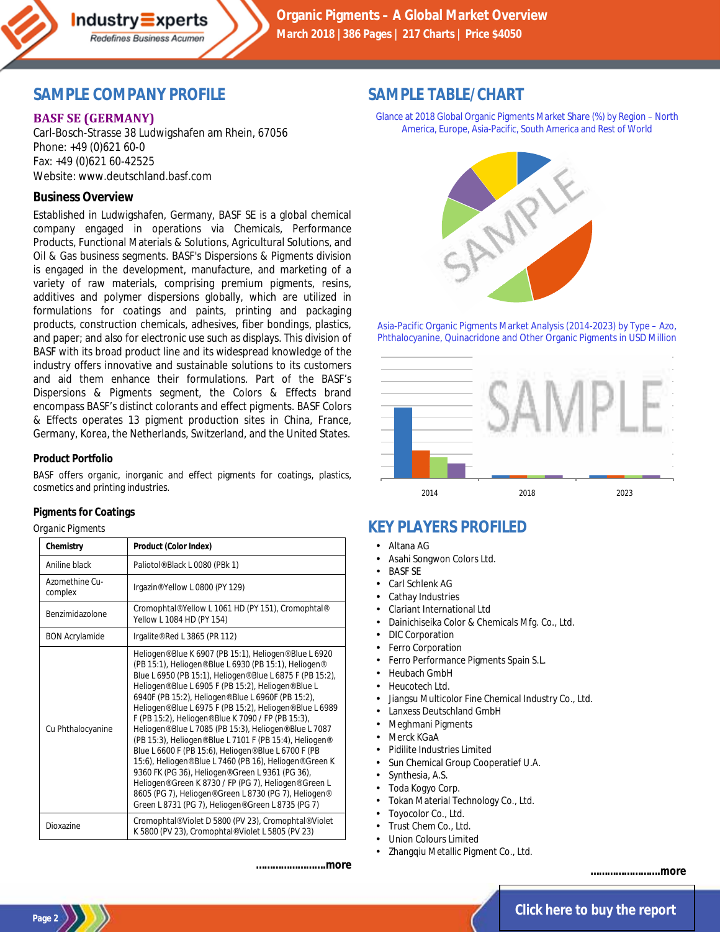

**Organic Pigments – A Global Market Overview March 2018 |386 Pages | 217 Charts | Price \$4050**

## **SAMPLE COMPANY PROFILE**

Redefines Business Acumen

### **BASF SE (GERMANY)**

Carl-Bosch-Strasse 38 Ludwigshafen am Rhein, 67056 Phone: +49 (0)621 60-0 Fax: +49 (0)621 60-42525 Website: www.deutschland.basf.com

### **Business Overview**

Established in Ludwigshafen, Germany, BASF SE is a global chemical company engaged in operations via Chemicals, Performance Products, Functional Materials & Solutions, Agricultural Solutions, and Oil & Gas business segments. BASF's Dispersions & Pigments division is engaged in the development, manufacture, and marketing of a variety of raw materials, comprising premium pigments, resins, additives and polymer dispersions globally, which are utilized in formulations for coatings and paints, printing and packaging products, construction chemicals, adhesives, fiber bondings, plastics, and paper; and also for electronic use such as displays. This division of BASF with its broad product line and its widespread knowledge of the industry offers innovative and sustainable solutions to its customers and aid them enhance their formulations. Part of the BASF's Dispersions & Pigments segment, the Colors & Effects brand encompass BASF's distinct colorants and effect pigments. BASF Colors & Effects operates 13 pigment production sites in China, France, Germany, Korea, the Netherlands, Switzerland, and the United States.

#### **Product Portfolio**

BASF offers organic, inorganic and effect pigments for coatings, plastics, cosmetics and printing industries.

#### **Pigments for Coatings**

*Organic Pigments*

| Chemistry                 | Product (Color Index)                                                                                                                                                                                                                                                                                                                                                                                                                                                                                                                                                                                                                                                                                                                                                                                                                                                           |
|---------------------------|---------------------------------------------------------------------------------------------------------------------------------------------------------------------------------------------------------------------------------------------------------------------------------------------------------------------------------------------------------------------------------------------------------------------------------------------------------------------------------------------------------------------------------------------------------------------------------------------------------------------------------------------------------------------------------------------------------------------------------------------------------------------------------------------------------------------------------------------------------------------------------|
| Aniline black             | Paliotol® Black L 0080 (PBk 1)                                                                                                                                                                                                                                                                                                                                                                                                                                                                                                                                                                                                                                                                                                                                                                                                                                                  |
| Azomethine Cu-<br>complex | Irgazin® Yellow L 0800 (PY 129)                                                                                                                                                                                                                                                                                                                                                                                                                                                                                                                                                                                                                                                                                                                                                                                                                                                 |
| Benzimidazolone           | Cromophtal® Yellow L 1061 HD (PY 151), Cromophtal®<br>Yellow L 1084 HD (PY 154)                                                                                                                                                                                                                                                                                                                                                                                                                                                                                                                                                                                                                                                                                                                                                                                                 |
| <b>BON Acrylamide</b>     | Irgalite® Red L 3865 (PR 112)                                                                                                                                                                                                                                                                                                                                                                                                                                                                                                                                                                                                                                                                                                                                                                                                                                                   |
| Cu Phthalocyanine         | Heliogen® Blue K 6907 (PB 15:1), Heliogen® Blue L 6920<br>(PB 15:1), Heliogen® Blue L 6930 (PB 15:1), Heliogen®<br>Blue L 6950 (PB 15:1), Heliogen® Blue L 6875 F (PB 15:2),<br>Heliogen® Blue L 6905 F (PB 15:2), Heliogen® Blue L<br>6940F (PB 15:2), Heliogen® Blue L 6960F (PB 15:2),<br>Heliogen® Blue L 6975 F (PB 15:2), Heliogen® Blue L 6989<br>F (PB 15:2), Heliogen® Blue K 7090 / FP (PB 15:3),<br>Heliogen® Blue L 7085 (PB 15:3), Heliogen® Blue L 7087<br>(PB 15:3), Heliogen® Blue L 7101 F (PB 15:4), Heliogen®<br>Blue L 6600 F (PB 15:6), Heliogen® Blue L 6700 F (PB<br>15:6), Heliogen® Blue L 7460 (PB 16), Heliogen® Green K<br>9360 FK (PG 36), Heliogen® Green L 9361 (PG 36),<br>Heliogen® Green K 8730 / FP (PG 7), Heliogen® Green L<br>8605 (PG 7), Heliogen® Green L 8730 (PG 7), Heliogen®<br>Green L 8731 (PG 7), Heliogen® Green L 8735 (PG 7) |
| Dioxazine                 | Cromophtal® Violet D 5800 (PV 23), Cromophtal® Violet<br>K 5800 (PV 23), Cromophtal® Violet L 5805 (PV 23)                                                                                                                                                                                                                                                                                                                                                                                                                                                                                                                                                                                                                                                                                                                                                                      |

### **SAMPLE TABLE/CHART**

Glance at 2018 Global Organic Pigments Market Share (%) by Region – North America, Europe, Asia-Pacific, South America and Rest of World



Asia-Pacific Organic Pigments Market Analysis (2014-2023) by Type – Azo, Phthalocyanine, Quinacridone and Other Organic Pigments in USD Million



# **KEY PLAYERS PROFILED**

- Altana AG
- Asahi Songwon Colors Ltd.
- BASF SE
- Carl Schlenk AG
- Cathay Industries
- Clariant International Ltd
- Dainichiseika Color & Chemicals Mfg. Co., Ltd.
- DIC Corporation
- Ferro Corporation
- Ferro Performance Pigments Spain S.L.
- Heubach GmbH
- Heucotech Ltd.
- Jiangsu Multicolor Fine Chemical Industry Co., Ltd.
- Lanxess Deutschland GmbH
- Meghmani Pigments
- Merck KGaA
- Pidilite Industries Limited
- Sun Chemical Group Cooperatief U.A.
- Synthesia, A.S.
- Toda Kogyo Corp.
- Tokan Material Technology Co., Ltd.
- Toyocolor Co., Ltd.
- Trust Chem Co., Ltd.
- Union Colours Limited
- Zhangqiu Metallic Pigment Co., Ltd.

*…………………….more*

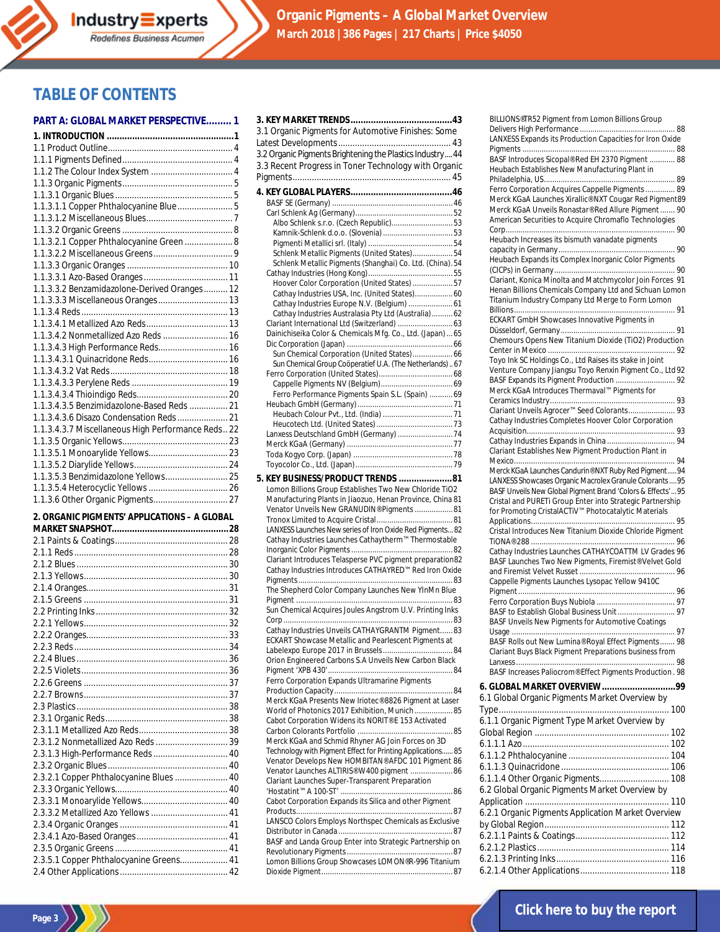**Organic Pigments – A Global Market Overview March 2018 |386 Pages | 217 Charts | Price \$4050**

# **TABLE OF CONTENTS**

#### **PART A: GLOBAL MARKET PERSPECTIVE......... 1**

| 1.1.3.1.1 Copper Phthalocyanine Blue 5             |  |
|----------------------------------------------------|--|
|                                                    |  |
|                                                    |  |
| 1.1.3.2.1 Copper Phthalocyanine Green  8           |  |
|                                                    |  |
|                                                    |  |
|                                                    |  |
| 1.1.3.3.2 Benzamidazolone-Derived Oranges 12       |  |
|                                                    |  |
|                                                    |  |
|                                                    |  |
| 1.1.3.4.2 Nonmetallized Azo Reds  16               |  |
| 1.1.3.4.3 High Performance Reds 16                 |  |
|                                                    |  |
|                                                    |  |
|                                                    |  |
|                                                    |  |
| 1.1.3.4.3.5 Benzimidazolone-Based Reds  21         |  |
|                                                    |  |
| 1.1.3.4.3.7 Miscellaneous High Performance Reds 22 |  |
|                                                    |  |
|                                                    |  |
|                                                    |  |
| 1.1.3.5.3 Benzimidazolone Yellows 25               |  |
|                                                    |  |
|                                                    |  |

#### **2. ORGANIC PIGMENTS' APPLICATIONS – A GLOBAL**

| 2.3.1.2 Nonmetallized Azo Reds  39      |  |
|-----------------------------------------|--|
| 2.3.1.3 High-Performance Reds  40       |  |
|                                         |  |
| 2.3.2.1 Copper Phthalocyanine Blues  40 |  |
|                                         |  |
|                                         |  |
| 2.3.3.2 Metallized Azo Yellows  41      |  |
|                                         |  |
|                                         |  |
|                                         |  |
| 2.3.5.1 Copper Phthalocyanine Greens 41 |  |
|                                         |  |

| 3.1 Organic Pigments for Automotive Finishes: Some                                                                                                                                                                                                                                     |
|----------------------------------------------------------------------------------------------------------------------------------------------------------------------------------------------------------------------------------------------------------------------------------------|
| 3.2 Organic Pigments Brightening the Plastics Industry 44<br>3.3 Recent Progress in Toner Technology with Organic                                                                                                                                                                      |
|                                                                                                                                                                                                                                                                                        |
|                                                                                                                                                                                                                                                                                        |
|                                                                                                                                                                                                                                                                                        |
| Albo Schlenk s.r.o. (Czech Republic)53                                                                                                                                                                                                                                                 |
|                                                                                                                                                                                                                                                                                        |
| Schlenk Metallic Pigments (United States)54                                                                                                                                                                                                                                            |
| Schlenk Metallic Pigments (Shanghai) Co. Ltd. (China). 54                                                                                                                                                                                                                              |
| Hoover Color Corporation (United States) 57                                                                                                                                                                                                                                            |
| Cathay Industries USA, Inc. (United States) 60                                                                                                                                                                                                                                         |
| Cathay Industries Europe N.V. (Belgium)  61                                                                                                                                                                                                                                            |
| Cathay Industries Australasia Pty Ltd (Australia) 62                                                                                                                                                                                                                                   |
| Dainichiseika Color & Chemicals Mfg. Co., Ltd. (Japan)  65                                                                                                                                                                                                                             |
|                                                                                                                                                                                                                                                                                        |
| Sun Chemical Group Coöperatief U.A. (The Netherlands)67                                                                                                                                                                                                                                |
|                                                                                                                                                                                                                                                                                        |
|                                                                                                                                                                                                                                                                                        |
| Ferro Performance Pigments Spain S.L. (Spain)  69                                                                                                                                                                                                                                      |
|                                                                                                                                                                                                                                                                                        |
|                                                                                                                                                                                                                                                                                        |
|                                                                                                                                                                                                                                                                                        |
|                                                                                                                                                                                                                                                                                        |
| 5. KEY BUSINESS/PRODUCT TRENDS 81                                                                                                                                                                                                                                                      |
| Lomon Billions Group Establishes Two New Chloride TiO2<br>Manufacturing Plants in Jiaozuo, Henan Province, China 81<br>Venator Unveils New GRANUDIN® Pigments  81<br>LANXESS Launches New series of Iron Oxide Red Pigments 82<br>Cathay Industries Launches Cathaytherm™ Thermostable |
| Clariant Introduces Telasperse PVC pigment preparation82                                                                                                                                                                                                                               |
| Cathay Industries Introduces CATHAYRED™ Red Iron Oxide                                                                                                                                                                                                                                 |
| The Shepherd Color Company Launches New YInMn Blue                                                                                                                                                                                                                                     |
| Sun Chemical Acquires Joules Angstrom U.V. Printing Inks                                                                                                                                                                                                                               |
| Cathay Industries Unveils CATHAYGRANTM Pigment 83<br>ECKART Showcase Metallic and Pearlescent Pigments at                                                                                                                                                                              |
| Orion Engineered Carbons S.A Unveils New Carbon Black                                                                                                                                                                                                                                  |
| Ferro Corporation Expands Ultramarine Pigments                                                                                                                                                                                                                                         |
| Merck KGaA Presents New Iriotec® 8826 Pigment at Laser                                                                                                                                                                                                                                 |
| World of Photonics 2017 Exhibition, Munich85                                                                                                                                                                                                                                           |
| Cabot Corporation Widens its NORIT® E 153 Activated                                                                                                                                                                                                                                    |
| Merck KGaA and Schmid Rhyner AG Join Forces on 3D                                                                                                                                                                                                                                      |
| Technology with Pigment Effect for Printing Applications 85                                                                                                                                                                                                                            |
| Venator Develops New HOMBITAN® AFDC 101 Pigment 86<br>Venator Launches ALTIRIS® W400 pigment 86                                                                                                                                                                                        |
| Clariant Launches Super-Transparent Preparation                                                                                                                                                                                                                                        |
|                                                                                                                                                                                                                                                                                        |
| Cabot Corporation Expands its Silica and other Pigment                                                                                                                                                                                                                                 |
| LANSCO Colors Employs Northspec Chemicals as Exclusive                                                                                                                                                                                                                                 |
| BASF and Landa Group Enter into Strategic Partnership on                                                                                                                                                                                                                               |
|                                                                                                                                                                                                                                                                                        |
| Lomon Billions Group Showcases LOMON®R-996 Titanium                                                                                                                                                                                                                                    |

| BILLIONS®TR52 Pigment from Lomon Billions Group                                                                          |
|--------------------------------------------------------------------------------------------------------------------------|
|                                                                                                                          |
| LANXESS Expands its Production Capacities for Iron Oxide                                                                 |
| BASF Introduces Sicopal® Red EH 2370 Pigment  88                                                                         |
| Heubach Establishes New Manufacturing Plant in                                                                           |
|                                                                                                                          |
| Ferro Corporation Acquires Cappelle Pigments  89                                                                         |
| Merck KGaA Launches Xirallic® NXT Cougar Red Pigment89                                                                   |
| Merck KGaA Unveils Ronastar® Red Allure Pigment  90                                                                      |
| American Securities to Acquire Chromaflo Technologies                                                                    |
| Heubach Increases its bismuth vanadate pigments                                                                          |
|                                                                                                                          |
| Heubach Expands its Complex Inorganic Color Pigments                                                                     |
|                                                                                                                          |
| Clariant, Konica Minolta and Matchmycolor Join Forces 91                                                                 |
| Henan Billions Chemicals Company Ltd and Sichuan Lomon                                                                   |
| Titanium Industry Company Ltd Merge to Form Lomon                                                                        |
| ECKART GmbH Showcases Innovative Pigments in                                                                             |
|                                                                                                                          |
| Chemours Opens New Titanium Dioxide (TiO2) Production                                                                    |
|                                                                                                                          |
| Toyo Ink SC Holdings Co., Ltd Raises its stake in Joint                                                                  |
| Venture Company Jiangsu Toyo Renxin Pigment Co., Ltd 92                                                                  |
|                                                                                                                          |
| Merck KGaA Introduces Thermaval™ Pigments for                                                                            |
| Clariant Unveils Agrocer™ Seed Colorants 93                                                                              |
| Cathay Industries Completes Hoover Color Corporation                                                                     |
|                                                                                                                          |
|                                                                                                                          |
| Clariant Establishes New Pigment Production Plant in                                                                     |
|                                                                                                                          |
| Merck KGaA Launches Candurin® NXT Ruby Red Pigment 94                                                                    |
| LANXESS Showcases Organic Macrolex Granule Colorants  95                                                                 |
| BASF Unveils New Global Pigment Brand 'Colors & Effects' 95<br>Cristal and PURETi Group Enter into Strategic Partnership |
| for Promoting CristalACTiV™ Photocatalytic Materials                                                                     |
|                                                                                                                          |
| Cristal Introduces New Titanium Dioxide Chloride Pigment                                                                 |
|                                                                                                                          |
| Cathay Industries Launches CATHAYCOATTM LV Grades 96                                                                     |
| BASF Launches Two New Pigments, Firemist® Velvet Gold                                                                    |
|                                                                                                                          |
| Cappelle Pigments Launches Lysopac Yellow 9410C                                                                          |
|                                                                                                                          |
| BASF to Establish Global Business Unit  97                                                                               |
| BASF Unveils New Pigments for Automotive Coatings                                                                        |
|                                                                                                                          |
| BASF Rolls out New Lumina® Roval Effect Pigments 98                                                                      |
| Clariant Buys Black Pigment Preparations business from                                                                   |
|                                                                                                                          |
| BASF Increases Paliocrom® Effect Pigments Production. 98                                                                 |
| 6. GLOBAL MARKET OVERVIEW99                                                                                              |
| 6.1 Global Organic Pigments Market Overview by                                                                           |
|                                                                                                                          |
| 6.1.1 Organic Pigment Type Market Overview by                                                                            |
|                                                                                                                          |
|                                                                                                                          |
|                                                                                                                          |
|                                                                                                                          |
|                                                                                                                          |
| 6.2 Global Organic Pigments Market Overview by                                                                           |
|                                                                                                                          |
| 6.2.1 Organic Pigments Application Market Overview                                                                       |
|                                                                                                                          |
|                                                                                                                          |
|                                                                                                                          |
|                                                                                                                          |
|                                                                                                                          |



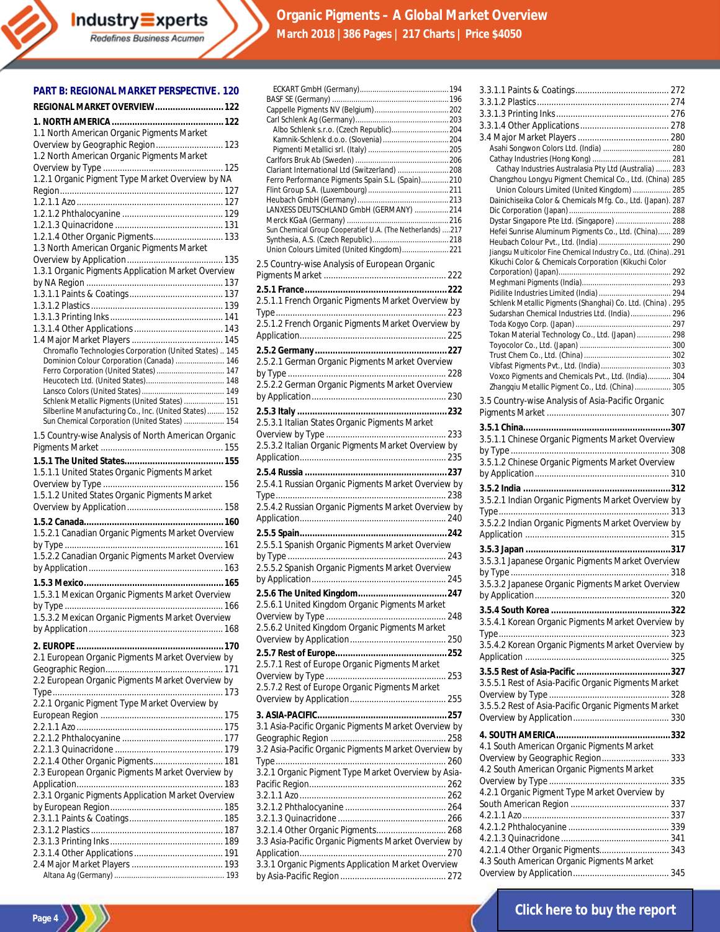# **Organic Pigments – A Global Market Overview March 2018 |386 Pages | 217 Charts | Price \$4050**

#### **PART B: REGIONAL MARKET PERSPECTIVE. 120**

| REGIONAL MARKET OVERVIEW 122                                                                         |
|------------------------------------------------------------------------------------------------------|
|                                                                                                      |
| 1.1 North American Organic Pigments Market<br>Overview by Geographic Region 123                      |
| 1.2 North American Organic Pigments Market                                                           |
|                                                                                                      |
| 1.2.1 Organic Pigment Type Market Overview by NA                                                     |
|                                                                                                      |
|                                                                                                      |
|                                                                                                      |
| 1.2.1.4 Other Organic Pigments 133                                                                   |
| 1.3 North American Organic Pigments Market                                                           |
| 1.3.1 Organic Pigments Application Market Overview                                                   |
|                                                                                                      |
|                                                                                                      |
|                                                                                                      |
|                                                                                                      |
|                                                                                                      |
| Chromaflo Technologies Corporation (United States)  145<br>Dominion Colour Corporation (Canada)  146 |
| Ferro Corporation (United States)  147                                                               |
|                                                                                                      |
| Schlenk Metallic Pigments (United States)  151                                                       |
| Silberline Manufacturing Co., Inc. (United States)  152                                              |
| Sun Chemical Corporation (United States)  154                                                        |
| 1.5 Country-wise Analysis of North American Organic                                                  |
|                                                                                                      |
| 1.5.1.1 United States Organic Pigments Market                                                        |
| 1.5.1.2 United States Organic Pigments Market                                                        |
|                                                                                                      |
|                                                                                                      |
| 1.5.2.1 Canadian Organic Pigments Market Overview                                                    |
|                                                                                                      |
| 1.5.2.2 Canadian Organic Pigments Market Overview                                                    |
|                                                                                                      |
| 1.5.3.1 Mexican Organic Pigments Market Overview                                                     |
|                                                                                                      |
| 1.5.3.2 Mexican Organic Pigments Market Overview                                                     |
|                                                                                                      |
|                                                                                                      |
| 2.1 European Organic Pigments Market Overview by                                                     |
|                                                                                                      |
|                                                                                                      |
| 2.2 European Organic Pigments Market Overview by                                                     |
| 2.2.1 Organic Pigment Type Market Overview by                                                        |
|                                                                                                      |
|                                                                                                      |
|                                                                                                      |
| 2.2.1.4 Other Organic Pigments 181                                                                   |
| 2.3 European Organic Pigments Market Overview by                                                     |
|                                                                                                      |
| 2.3.1 Organic Pigments Application Market Overview                                                   |
|                                                                                                      |
|                                                                                                      |
|                                                                                                      |
|                                                                                                      |

| 2.5 Country-wise Analysis of European Organic<br>2.5.1.1 French Organic Pigments Market Overview by<br>2.5.1.2 French Organic Pigments Market Overview by<br>2.5.2.1 German Organic Pigments Market Overview<br>2.5.2.2 German Organic Pigments Market Overview<br>2.5.3.1 Italian States Organic Pigments Market<br>2.5.3.2 Italian Organic Pigments Market Overview by<br>2.5.5.1 Spanish Organic Pigments Market Overview<br>2.5.5.2 Spanish Organic Pigments Market Overview<br>2.5.6.1 United Kingdom Organic Pigments Market<br>2.5.6.2 United Kingdom Organic Pigments Market<br>2.5.7.1 Rest of Europe Organic Pigments Market<br>2.5.7.2 Rest of Europe Organic Pigments Market | Albo Schlenk s.r.o. (Czech Republic) 204<br>Kamnik-Schlenk d.o.o. (Slovenia)  204<br>Clariant International Ltd (Switzerland)  208<br>Ferro Performance Pigments Spain S.L. (Spain) 210<br>LANXESS DEUTSCHLAND GmbH (GERMANY)  214<br>Sun Chemical Group Cooperatief U.A. (The Netherlands) 217<br>Union Colours Limited (United Kingdom) 221<br>2.5.4.1 Russian Organic Pigments Market Overview by<br>2.5.4.2 Russian Organic Pigments Market Overview by<br>3.1 Asia-Pacific Organic Pigments Market Overview by<br>3.2 Asia-Pacific Organic Pigments Market Overview by<br>3.2.1 Organic Pigment Type Market Overview by Asia- |
|------------------------------------------------------------------------------------------------------------------------------------------------------------------------------------------------------------------------------------------------------------------------------------------------------------------------------------------------------------------------------------------------------------------------------------------------------------------------------------------------------------------------------------------------------------------------------------------------------------------------------------------------------------------------------------------|------------------------------------------------------------------------------------------------------------------------------------------------------------------------------------------------------------------------------------------------------------------------------------------------------------------------------------------------------------------------------------------------------------------------------------------------------------------------------------------------------------------------------------------------------------------------------------------------------------------------------------|
|                                                                                                                                                                                                                                                                                                                                                                                                                                                                                                                                                                                                                                                                                          |                                                                                                                                                                                                                                                                                                                                                                                                                                                                                                                                                                                                                                    |
|                                                                                                                                                                                                                                                                                                                                                                                                                                                                                                                                                                                                                                                                                          |                                                                                                                                                                                                                                                                                                                                                                                                                                                                                                                                                                                                                                    |
|                                                                                                                                                                                                                                                                                                                                                                                                                                                                                                                                                                                                                                                                                          |                                                                                                                                                                                                                                                                                                                                                                                                                                                                                                                                                                                                                                    |
|                                                                                                                                                                                                                                                                                                                                                                                                                                                                                                                                                                                                                                                                                          |                                                                                                                                                                                                                                                                                                                                                                                                                                                                                                                                                                                                                                    |
|                                                                                                                                                                                                                                                                                                                                                                                                                                                                                                                                                                                                                                                                                          |                                                                                                                                                                                                                                                                                                                                                                                                                                                                                                                                                                                                                                    |
|                                                                                                                                                                                                                                                                                                                                                                                                                                                                                                                                                                                                                                                                                          |                                                                                                                                                                                                                                                                                                                                                                                                                                                                                                                                                                                                                                    |
|                                                                                                                                                                                                                                                                                                                                                                                                                                                                                                                                                                                                                                                                                          |                                                                                                                                                                                                                                                                                                                                                                                                                                                                                                                                                                                                                                    |
|                                                                                                                                                                                                                                                                                                                                                                                                                                                                                                                                                                                                                                                                                          |                                                                                                                                                                                                                                                                                                                                                                                                                                                                                                                                                                                                                                    |
|                                                                                                                                                                                                                                                                                                                                                                                                                                                                                                                                                                                                                                                                                          |                                                                                                                                                                                                                                                                                                                                                                                                                                                                                                                                                                                                                                    |
|                                                                                                                                                                                                                                                                                                                                                                                                                                                                                                                                                                                                                                                                                          |                                                                                                                                                                                                                                                                                                                                                                                                                                                                                                                                                                                                                                    |
|                                                                                                                                                                                                                                                                                                                                                                                                                                                                                                                                                                                                                                                                                          |                                                                                                                                                                                                                                                                                                                                                                                                                                                                                                                                                                                                                                    |
|                                                                                                                                                                                                                                                                                                                                                                                                                                                                                                                                                                                                                                                                                          |                                                                                                                                                                                                                                                                                                                                                                                                                                                                                                                                                                                                                                    |
|                                                                                                                                                                                                                                                                                                                                                                                                                                                                                                                                                                                                                                                                                          |                                                                                                                                                                                                                                                                                                                                                                                                                                                                                                                                                                                                                                    |
|                                                                                                                                                                                                                                                                                                                                                                                                                                                                                                                                                                                                                                                                                          |                                                                                                                                                                                                                                                                                                                                                                                                                                                                                                                                                                                                                                    |
|                                                                                                                                                                                                                                                                                                                                                                                                                                                                                                                                                                                                                                                                                          |                                                                                                                                                                                                                                                                                                                                                                                                                                                                                                                                                                                                                                    |
|                                                                                                                                                                                                                                                                                                                                                                                                                                                                                                                                                                                                                                                                                          |                                                                                                                                                                                                                                                                                                                                                                                                                                                                                                                                                                                                                                    |
|                                                                                                                                                                                                                                                                                                                                                                                                                                                                                                                                                                                                                                                                                          |                                                                                                                                                                                                                                                                                                                                                                                                                                                                                                                                                                                                                                    |
|                                                                                                                                                                                                                                                                                                                                                                                                                                                                                                                                                                                                                                                                                          |                                                                                                                                                                                                                                                                                                                                                                                                                                                                                                                                                                                                                                    |
|                                                                                                                                                                                                                                                                                                                                                                                                                                                                                                                                                                                                                                                                                          |                                                                                                                                                                                                                                                                                                                                                                                                                                                                                                                                                                                                                                    |
|                                                                                                                                                                                                                                                                                                                                                                                                                                                                                                                                                                                                                                                                                          |                                                                                                                                                                                                                                                                                                                                                                                                                                                                                                                                                                                                                                    |
|                                                                                                                                                                                                                                                                                                                                                                                                                                                                                                                                                                                                                                                                                          |                                                                                                                                                                                                                                                                                                                                                                                                                                                                                                                                                                                                                                    |
|                                                                                                                                                                                                                                                                                                                                                                                                                                                                                                                                                                                                                                                                                          |                                                                                                                                                                                                                                                                                                                                                                                                                                                                                                                                                                                                                                    |
|                                                                                                                                                                                                                                                                                                                                                                                                                                                                                                                                                                                                                                                                                          |                                                                                                                                                                                                                                                                                                                                                                                                                                                                                                                                                                                                                                    |
|                                                                                                                                                                                                                                                                                                                                                                                                                                                                                                                                                                                                                                                                                          |                                                                                                                                                                                                                                                                                                                                                                                                                                                                                                                                                                                                                                    |
|                                                                                                                                                                                                                                                                                                                                                                                                                                                                                                                                                                                                                                                                                          |                                                                                                                                                                                                                                                                                                                                                                                                                                                                                                                                                                                                                                    |
|                                                                                                                                                                                                                                                                                                                                                                                                                                                                                                                                                                                                                                                                                          |                                                                                                                                                                                                                                                                                                                                                                                                                                                                                                                                                                                                                                    |
|                                                                                                                                                                                                                                                                                                                                                                                                                                                                                                                                                                                                                                                                                          |                                                                                                                                                                                                                                                                                                                                                                                                                                                                                                                                                                                                                                    |
|                                                                                                                                                                                                                                                                                                                                                                                                                                                                                                                                                                                                                                                                                          |                                                                                                                                                                                                                                                                                                                                                                                                                                                                                                                                                                                                                                    |
|                                                                                                                                                                                                                                                                                                                                                                                                                                                                                                                                                                                                                                                                                          |                                                                                                                                                                                                                                                                                                                                                                                                                                                                                                                                                                                                                                    |
|                                                                                                                                                                                                                                                                                                                                                                                                                                                                                                                                                                                                                                                                                          |                                                                                                                                                                                                                                                                                                                                                                                                                                                                                                                                                                                                                                    |
|                                                                                                                                                                                                                                                                                                                                                                                                                                                                                                                                                                                                                                                                                          |                                                                                                                                                                                                                                                                                                                                                                                                                                                                                                                                                                                                                                    |
|                                                                                                                                                                                                                                                                                                                                                                                                                                                                                                                                                                                                                                                                                          |                                                                                                                                                                                                                                                                                                                                                                                                                                                                                                                                                                                                                                    |
|                                                                                                                                                                                                                                                                                                                                                                                                                                                                                                                                                                                                                                                                                          |                                                                                                                                                                                                                                                                                                                                                                                                                                                                                                                                                                                                                                    |
|                                                                                                                                                                                                                                                                                                                                                                                                                                                                                                                                                                                                                                                                                          |                                                                                                                                                                                                                                                                                                                                                                                                                                                                                                                                                                                                                                    |
|                                                                                                                                                                                                                                                                                                                                                                                                                                                                                                                                                                                                                                                                                          |                                                                                                                                                                                                                                                                                                                                                                                                                                                                                                                                                                                                                                    |
|                                                                                                                                                                                                                                                                                                                                                                                                                                                                                                                                                                                                                                                                                          |                                                                                                                                                                                                                                                                                                                                                                                                                                                                                                                                                                                                                                    |
|                                                                                                                                                                                                                                                                                                                                                                                                                                                                                                                                                                                                                                                                                          |                                                                                                                                                                                                                                                                                                                                                                                                                                                                                                                                                                                                                                    |
|                                                                                                                                                                                                                                                                                                                                                                                                                                                                                                                                                                                                                                                                                          |                                                                                                                                                                                                                                                                                                                                                                                                                                                                                                                                                                                                                                    |
|                                                                                                                                                                                                                                                                                                                                                                                                                                                                                                                                                                                                                                                                                          |                                                                                                                                                                                                                                                                                                                                                                                                                                                                                                                                                                                                                                    |
|                                                                                                                                                                                                                                                                                                                                                                                                                                                                                                                                                                                                                                                                                          |                                                                                                                                                                                                                                                                                                                                                                                                                                                                                                                                                                                                                                    |
|                                                                                                                                                                                                                                                                                                                                                                                                                                                                                                                                                                                                                                                                                          |                                                                                                                                                                                                                                                                                                                                                                                                                                                                                                                                                                                                                                    |
|                                                                                                                                                                                                                                                                                                                                                                                                                                                                                                                                                                                                                                                                                          |                                                                                                                                                                                                                                                                                                                                                                                                                                                                                                                                                                                                                                    |
|                                                                                                                                                                                                                                                                                                                                                                                                                                                                                                                                                                                                                                                                                          |                                                                                                                                                                                                                                                                                                                                                                                                                                                                                                                                                                                                                                    |
|                                                                                                                                                                                                                                                                                                                                                                                                                                                                                                                                                                                                                                                                                          |                                                                                                                                                                                                                                                                                                                                                                                                                                                                                                                                                                                                                                    |
|                                                                                                                                                                                                                                                                                                                                                                                                                                                                                                                                                                                                                                                                                          |                                                                                                                                                                                                                                                                                                                                                                                                                                                                                                                                                                                                                                    |
|                                                                                                                                                                                                                                                                                                                                                                                                                                                                                                                                                                                                                                                                                          |                                                                                                                                                                                                                                                                                                                                                                                                                                                                                                                                                                                                                                    |
|                                                                                                                                                                                                                                                                                                                                                                                                                                                                                                                                                                                                                                                                                          |                                                                                                                                                                                                                                                                                                                                                                                                                                                                                                                                                                                                                                    |
|                                                                                                                                                                                                                                                                                                                                                                                                                                                                                                                                                                                                                                                                                          |                                                                                                                                                                                                                                                                                                                                                                                                                                                                                                                                                                                                                                    |
|                                                                                                                                                                                                                                                                                                                                                                                                                                                                                                                                                                                                                                                                                          |                                                                                                                                                                                                                                                                                                                                                                                                                                                                                                                                                                                                                                    |
|                                                                                                                                                                                                                                                                                                                                                                                                                                                                                                                                                                                                                                                                                          |                                                                                                                                                                                                                                                                                                                                                                                                                                                                                                                                                                                                                                    |
|                                                                                                                                                                                                                                                                                                                                                                                                                                                                                                                                                                                                                                                                                          |                                                                                                                                                                                                                                                                                                                                                                                                                                                                                                                                                                                                                                    |
|                                                                                                                                                                                                                                                                                                                                                                                                                                                                                                                                                                                                                                                                                          |                                                                                                                                                                                                                                                                                                                                                                                                                                                                                                                                                                                                                                    |
|                                                                                                                                                                                                                                                                                                                                                                                                                                                                                                                                                                                                                                                                                          |                                                                                                                                                                                                                                                                                                                                                                                                                                                                                                                                                                                                                                    |
|                                                                                                                                                                                                                                                                                                                                                                                                                                                                                                                                                                                                                                                                                          |                                                                                                                                                                                                                                                                                                                                                                                                                                                                                                                                                                                                                                    |
|                                                                                                                                                                                                                                                                                                                                                                                                                                                                                                                                                                                                                                                                                          |                                                                                                                                                                                                                                                                                                                                                                                                                                                                                                                                                                                                                                    |
|                                                                                                                                                                                                                                                                                                                                                                                                                                                                                                                                                                                                                                                                                          |                                                                                                                                                                                                                                                                                                                                                                                                                                                                                                                                                                                                                                    |
|                                                                                                                                                                                                                                                                                                                                                                                                                                                                                                                                                                                                                                                                                          |                                                                                                                                                                                                                                                                                                                                                                                                                                                                                                                                                                                                                                    |
|                                                                                                                                                                                                                                                                                                                                                                                                                                                                                                                                                                                                                                                                                          | 3.2.1.4 Other Organic Pigments 268                                                                                                                                                                                                                                                                                                                                                                                                                                                                                                                                                                                                 |
|                                                                                                                                                                                                                                                                                                                                                                                                                                                                                                                                                                                                                                                                                          | 3.3 Asia-Pacific Organic Pigments Market Overview by                                                                                                                                                                                                                                                                                                                                                                                                                                                                                                                                                                               |
|                                                                                                                                                                                                                                                                                                                                                                                                                                                                                                                                                                                                                                                                                          |                                                                                                                                                                                                                                                                                                                                                                                                                                                                                                                                                                                                                                    |
|                                                                                                                                                                                                                                                                                                                                                                                                                                                                                                                                                                                                                                                                                          | 3.3.1 Organic Pigments Application Market Overview                                                                                                                                                                                                                                                                                                                                                                                                                                                                                                                                                                                 |
|                                                                                                                                                                                                                                                                                                                                                                                                                                                                                                                                                                                                                                                                                          |                                                                                                                                                                                                                                                                                                                                                                                                                                                                                                                                                                                                                                    |

| Asahi Songwon Colors Ltd. (India)  280                                                                                                                                          |  |
|---------------------------------------------------------------------------------------------------------------------------------------------------------------------------------|--|
|                                                                                                                                                                                 |  |
| Cathay Industries Australasia Pty Ltd (Australia)  283                                                                                                                          |  |
| Changzhou Longyu Pigment Chemical Co., Ltd. (China) 285<br>Union Colours Limited (United Kingdom)  285                                                                          |  |
| Dainichiseika Color & Chemicals Mfg. Co., Ltd. (Japan). 287                                                                                                                     |  |
|                                                                                                                                                                                 |  |
| Dystar Singapore Pte Ltd. (Singapore)  288                                                                                                                                      |  |
| Hefei Sunrise Aluminum Pigments Co., Ltd. (China) 289                                                                                                                           |  |
|                                                                                                                                                                                 |  |
| Jiangsu Multicolor Fine Chemical Industry Co., Ltd. (China)291                                                                                                                  |  |
| Kikuchi Color & Chemicals Corporation (Kikuchi Color                                                                                                                            |  |
|                                                                                                                                                                                 |  |
|                                                                                                                                                                                 |  |
| Schlenk Metallic Pigments (Shanghai) Co. Ltd. (China). 295                                                                                                                      |  |
| Sudarshan Chemical Industries Ltd. (India) 296                                                                                                                                  |  |
|                                                                                                                                                                                 |  |
| Tokan Material Technology Co., Ltd. (Japan)  298                                                                                                                                |  |
|                                                                                                                                                                                 |  |
|                                                                                                                                                                                 |  |
| Vibfast Pigments Pvt., Ltd. (India) 303                                                                                                                                         |  |
| Voxco Pigments and Chemicals Pvt., Ltd. (India) 304                                                                                                                             |  |
| Zhangqiu Metallic Pigment Co., Ltd. (China) 305                                                                                                                                 |  |
| 3.5 Country-wise Analysis of Asia-Pacific Organic                                                                                                                               |  |
|                                                                                                                                                                                 |  |
|                                                                                                                                                                                 |  |
| 3.5.1.1 Chinese Organic Pigments Market Overview                                                                                                                                |  |
|                                                                                                                                                                                 |  |
| 3.5.1.2 Chinese Organic Pigments Market Overview                                                                                                                                |  |
|                                                                                                                                                                                 |  |
|                                                                                                                                                                                 |  |
|                                                                                                                                                                                 |  |
|                                                                                                                                                                                 |  |
| 3.5.2.1 Indian Organic Pigments Market Overview by                                                                                                                              |  |
|                                                                                                                                                                                 |  |
| 3.5.2.2 Indian Organic Pigments Market Overview by                                                                                                                              |  |
|                                                                                                                                                                                 |  |
|                                                                                                                                                                                 |  |
| 3.5.3.1 Japanese Organic Pigments Market Overview                                                                                                                               |  |
|                                                                                                                                                                                 |  |
| 3.5.3.2 Japanese Organic Pigments Market Overview                                                                                                                               |  |
|                                                                                                                                                                                 |  |
|                                                                                                                                                                                 |  |
| 3.5.4.1 Korean Organic Pigments Market Overview by                                                                                                                              |  |
|                                                                                                                                                                                 |  |
| 3.5.4.2 Korean Organic Pigments Market Overview by                                                                                                                              |  |
|                                                                                                                                                                                 |  |
|                                                                                                                                                                                 |  |
| 3.5.5.1 Rest of Asia-Pacific Organic Pigments Market                                                                                                                            |  |
|                                                                                                                                                                                 |  |
| 3.5.5.2 Rest of Asia-Pacific Organic Pigments Market                                                                                                                            |  |
|                                                                                                                                                                                 |  |
|                                                                                                                                                                                 |  |
|                                                                                                                                                                                 |  |
| 4.1 South American Organic Pigments Market                                                                                                                                      |  |
| Overview by Geographic Region 333                                                                                                                                               |  |
|                                                                                                                                                                                 |  |
|                                                                                                                                                                                 |  |
|                                                                                                                                                                                 |  |
|                                                                                                                                                                                 |  |
|                                                                                                                                                                                 |  |
|                                                                                                                                                                                 |  |
|                                                                                                                                                                                 |  |
| 4.2 South American Organic Pigments Market<br>4.2.1 Organic Pigment Type Market Overview by<br>4.2.1.4 Other Organic Pigments 343<br>4.3 South American Organic Pigments Market |  |